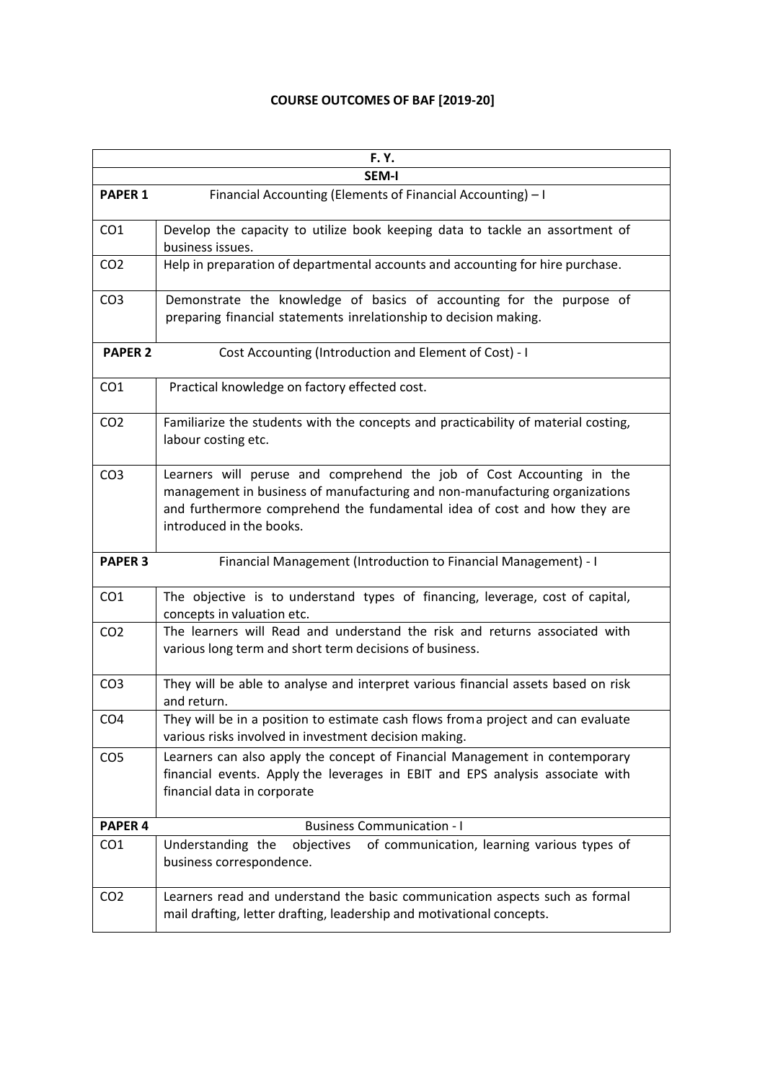## **COURSE OUTCOMES OF BAF [2019-20]**

| <b>F.Y.</b>        |                                                                                                                                                                                                                                                              |
|--------------------|--------------------------------------------------------------------------------------------------------------------------------------------------------------------------------------------------------------------------------------------------------------|
|                    | <b>SEM-I</b>                                                                                                                                                                                                                                                 |
| <b>PAPER 1</b>     | Financial Accounting (Elements of Financial Accounting) - I                                                                                                                                                                                                  |
| CO <sub>1</sub>    | Develop the capacity to utilize book keeping data to tackle an assortment of<br>business issues.                                                                                                                                                             |
| CO <sub>2</sub>    | Help in preparation of departmental accounts and accounting for hire purchase.                                                                                                                                                                               |
| CO <sub>3</sub>    | Demonstrate the knowledge of basics of accounting for the purpose of<br>preparing financial statements inrelationship to decision making.                                                                                                                    |
| <b>PAPER 2</b>     | Cost Accounting (Introduction and Element of Cost) - I                                                                                                                                                                                                       |
| CO <sub>1</sub>    | Practical knowledge on factory effected cost.                                                                                                                                                                                                                |
| CO <sub>2</sub>    | Familiarize the students with the concepts and practicability of material costing,<br>labour costing etc.                                                                                                                                                    |
| CO <sub>3</sub>    | Learners will peruse and comprehend the job of Cost Accounting in the<br>management in business of manufacturing and non-manufacturing organizations<br>and furthermore comprehend the fundamental idea of cost and how they are<br>introduced in the books. |
| <b>PAPER 3</b>     | Financial Management (Introduction to Financial Management) - I                                                                                                                                                                                              |
| CO <sub>1</sub>    | The objective is to understand types of financing, leverage, cost of capital,<br>concepts in valuation etc.                                                                                                                                                  |
| CO <sub>2</sub>    | The learners will Read and understand the risk and returns associated with<br>various long term and short term decisions of business.                                                                                                                        |
| CO <sub>3</sub>    | They will be able to analyse and interpret various financial assets based on risk<br>and return.                                                                                                                                                             |
| CO <sub>4</sub>    | They will be in a position to estimate cash flows froma project and can evaluate<br>various risks involved in investment decision making.                                                                                                                    |
| CO <sub>5</sub>    | Learners can also apply the concept of Financial Management in contemporary<br>financial events. Apply the leverages in EBIT and EPS analysis associate with<br>financial data in corporate                                                                  |
| PAPER <sub>4</sub> | <b>Business Communication - I</b>                                                                                                                                                                                                                            |
| CO <sub>1</sub>    | objectives<br>of communication, learning various types of<br>Understanding the<br>business correspondence.                                                                                                                                                   |
| CO <sub>2</sub>    | Learners read and understand the basic communication aspects such as formal<br>mail drafting, letter drafting, leadership and motivational concepts.                                                                                                         |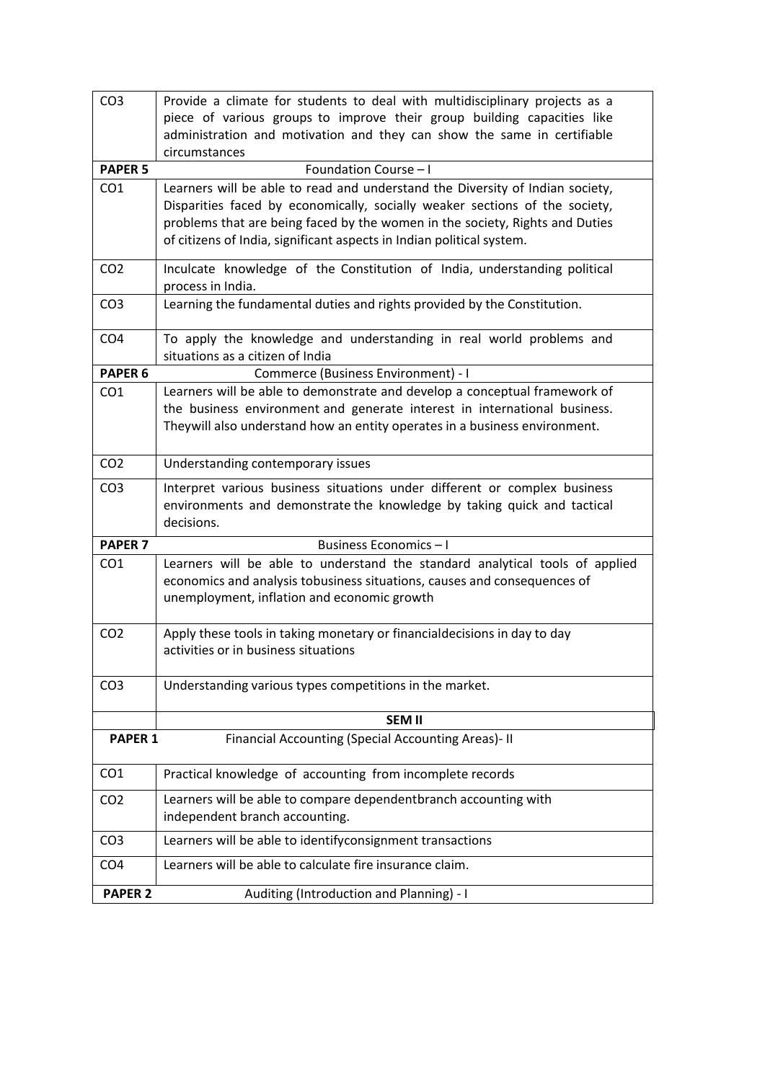| CO <sub>3</sub>    | Provide a climate for students to deal with multidisciplinary projects as a                                                                           |
|--------------------|-------------------------------------------------------------------------------------------------------------------------------------------------------|
|                    | piece of various groups to improve their group building capacities like<br>administration and motivation and they can show the same in certifiable    |
|                    | circumstances                                                                                                                                         |
| <b>PAPER 5</b>     | Foundation Course - I                                                                                                                                 |
| CO <sub>1</sub>    | Learners will be able to read and understand the Diversity of Indian society,                                                                         |
|                    | Disparities faced by economically, socially weaker sections of the society,                                                                           |
|                    | problems that are being faced by the women in the society, Rights and Duties<br>of citizens of India, significant aspects in Indian political system. |
|                    |                                                                                                                                                       |
| CO <sub>2</sub>    | Inculcate knowledge of the Constitution of India, understanding political<br>process in India.                                                        |
| CO <sub>3</sub>    | Learning the fundamental duties and rights provided by the Constitution.                                                                              |
| CO <sub>4</sub>    | To apply the knowledge and understanding in real world problems and<br>situations as a citizen of India                                               |
| PAPER <sub>6</sub> | Commerce (Business Environment) - I                                                                                                                   |
| CO <sub>1</sub>    | Learners will be able to demonstrate and develop a conceptual framework of                                                                            |
|                    | the business environment and generate interest in international business.                                                                             |
|                    | Theywill also understand how an entity operates in a business environment.                                                                            |
| CO <sub>2</sub>    | Understanding contemporary issues                                                                                                                     |
| CO <sub>3</sub>    |                                                                                                                                                       |
|                    | Interpret various business situations under different or complex business<br>environments and demonstrate the knowledge by taking quick and tactical  |
|                    | decisions.                                                                                                                                            |
| <b>PAPER 7</b>     | Business Economics-I                                                                                                                                  |
| CO <sub>1</sub>    | Learners will be able to understand the standard analytical tools of applied                                                                          |
|                    | economics and analysis tobusiness situations, causes and consequences of                                                                              |
|                    | unemployment, inflation and economic growth                                                                                                           |
| CO <sub>2</sub>    | Apply these tools in taking monetary or financial decisions in day to day                                                                             |
|                    | activities or in business situations                                                                                                                  |
|                    |                                                                                                                                                       |
| CO <sub>3</sub>    | Understanding various types competitions in the market.                                                                                               |
|                    | <b>SEM II</b>                                                                                                                                         |
| <b>PAPER 1</b>     | Financial Accounting (Special Accounting Areas)- II                                                                                                   |
|                    |                                                                                                                                                       |
| CO <sub>1</sub>    | Practical knowledge of accounting from incomplete records                                                                                             |
| CO <sub>2</sub>    | Learners will be able to compare dependentbranch accounting with                                                                                      |
|                    | independent branch accounting.                                                                                                                        |
| CO <sub>3</sub>    | Learners will be able to identifyconsignment transactions                                                                                             |
| CO <sub>4</sub>    | Learners will be able to calculate fire insurance claim.                                                                                              |
| <b>PAPER 2</b>     | Auditing (Introduction and Planning) - I                                                                                                              |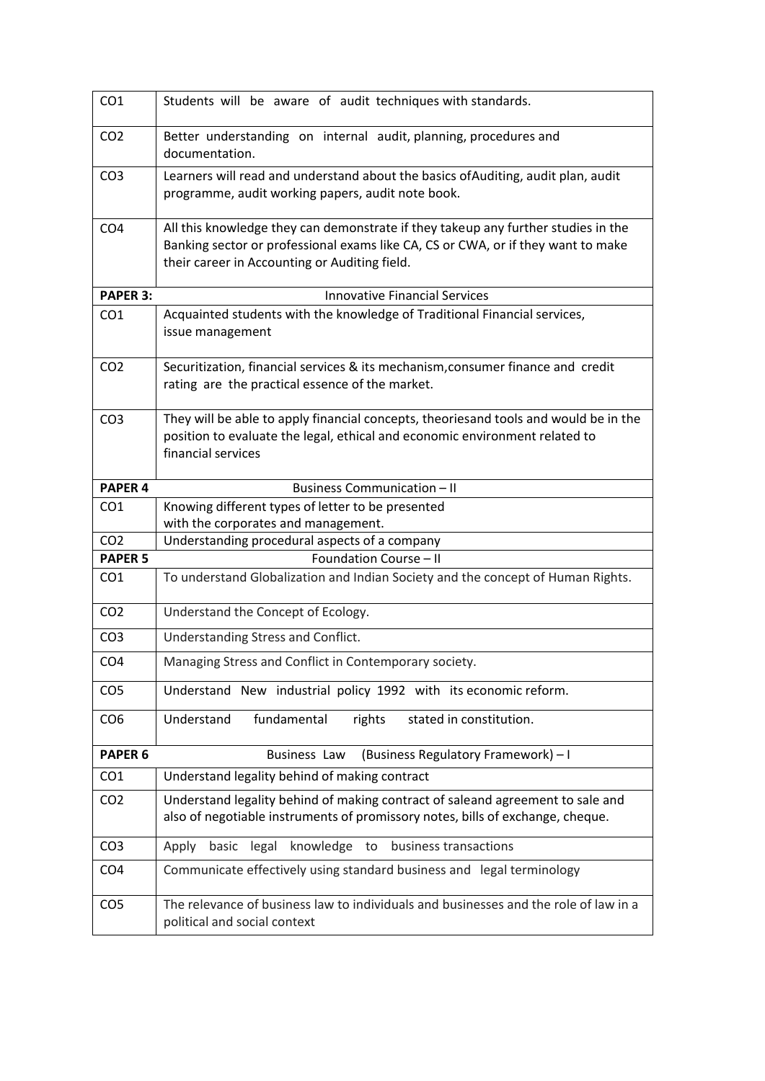| CO <sub>1</sub>    | Students will be aware of audit techniques with standards.                                                                                                                                                             |
|--------------------|------------------------------------------------------------------------------------------------------------------------------------------------------------------------------------------------------------------------|
| CO <sub>2</sub>    | Better understanding on internal audit, planning, procedures and<br>documentation.                                                                                                                                     |
| CO <sub>3</sub>    | Learners will read and understand about the basics of Auditing, audit plan, audit<br>programme, audit working papers, audit note book.                                                                                 |
| CO <sub>4</sub>    | All this knowledge they can demonstrate if they takeup any further studies in the<br>Banking sector or professional exams like CA, CS or CWA, or if they want to make<br>their career in Accounting or Auditing field. |
| <b>PAPER 3:</b>    | <b>Innovative Financial Services</b>                                                                                                                                                                                   |
| CO <sub>1</sub>    | Acquainted students with the knowledge of Traditional Financial services,<br>issue management                                                                                                                          |
| CO <sub>2</sub>    | Securitization, financial services & its mechanism, consumer finance and credit<br>rating are the practical essence of the market.                                                                                     |
| CO <sub>3</sub>    | They will be able to apply financial concepts, theoriesand tools and would be in the<br>position to evaluate the legal, ethical and economic environment related to<br>financial services                              |
| PAPER <sub>4</sub> | <b>Business Communication - II</b>                                                                                                                                                                                     |
| CO <sub>1</sub>    | Knowing different types of letter to be presented<br>with the corporates and management.                                                                                                                               |
| CO <sub>2</sub>    | Understanding procedural aspects of a company                                                                                                                                                                          |
| <b>PAPER 5</b>     | Foundation Course - II                                                                                                                                                                                                 |
| CO <sub>1</sub>    | To understand Globalization and Indian Society and the concept of Human Rights.                                                                                                                                        |
| CO <sub>2</sub>    | Understand the Concept of Ecology.                                                                                                                                                                                     |
| CO <sub>3</sub>    | Understanding Stress and Conflict.                                                                                                                                                                                     |
| CO <sub>4</sub>    | Managing Stress and Conflict in Contemporary society.                                                                                                                                                                  |
| CO <sub>5</sub>    | Understand New industrial policy 1992 with its economic reform.                                                                                                                                                        |
| CO <sub>6</sub>    | Understand<br>fundamental<br>rights<br>stated in constitution.                                                                                                                                                         |
| <b>PAPER 6</b>     | (Business Regulatory Framework) - I<br><b>Business Law</b>                                                                                                                                                             |
| CO <sub>1</sub>    | Understand legality behind of making contract                                                                                                                                                                          |
| CO <sub>2</sub>    | Understand legality behind of making contract of saleand agreement to sale and<br>also of negotiable instruments of promissory notes, bills of exchange, cheque.                                                       |
| CO <sub>3</sub>    | knowledge to<br>basic<br>legal<br>business transactions<br>Apply                                                                                                                                                       |
| CO <sub>4</sub>    | Communicate effectively using standard business and legal terminology                                                                                                                                                  |
| CO <sub>5</sub>    | The relevance of business law to individuals and businesses and the role of law in a<br>political and social context                                                                                                   |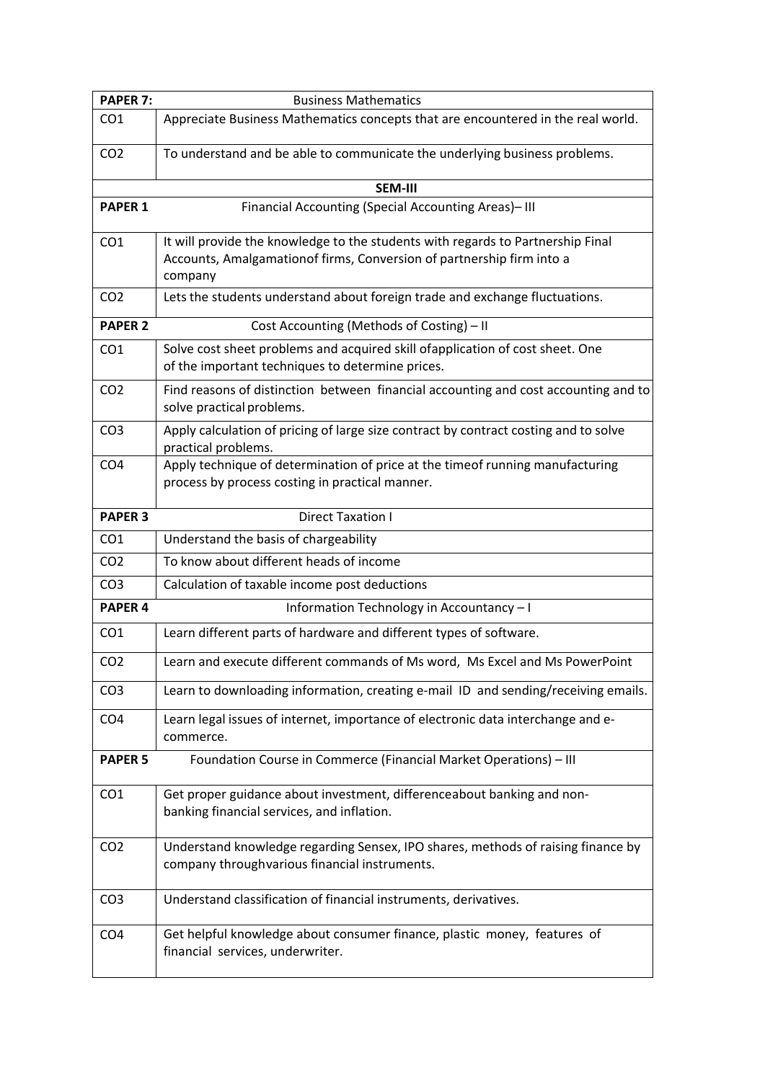| <b>PAPER 7:</b> | <b>Business Mathematics</b>                                                                                                                                         |
|-----------------|---------------------------------------------------------------------------------------------------------------------------------------------------------------------|
| CO <sub>1</sub> | Appreciate Business Mathematics concepts that are encountered in the real world.                                                                                    |
| CO <sub>2</sub> | To understand and be able to communicate the underlying business problems.                                                                                          |
|                 | SEM-III                                                                                                                                                             |
| <b>PAPER 1</b>  | Financial Accounting (Special Accounting Areas)-III                                                                                                                 |
| CO <sub>1</sub> | It will provide the knowledge to the students with regards to Partnership Final<br>Accounts, Amalgamationof firms, Conversion of partnership firm into a<br>company |
| CO <sub>2</sub> | Lets the students understand about foreign trade and exchange fluctuations.                                                                                         |
| <b>PAPER 2</b>  | Cost Accounting (Methods of Costing) - II                                                                                                                           |
| CO <sub>1</sub> | Solve cost sheet problems and acquired skill of application of cost sheet. One<br>of the important techniques to determine prices.                                  |
| CO <sub>2</sub> | Find reasons of distinction between financial accounting and cost accounting and to<br>solve practical problems.                                                    |
| CO <sub>3</sub> | Apply calculation of pricing of large size contract by contract costing and to solve<br>practical problems.                                                         |
| CO <sub>4</sub> | Apply technique of determination of price at the timeof running manufacturing<br>process by process costing in practical manner.                                    |
| <b>PAPER 3</b>  | <b>Direct Taxation I</b>                                                                                                                                            |
| CO <sub>1</sub> | Understand the basis of chargeability                                                                                                                               |
| CO <sub>2</sub> | To know about different heads of income                                                                                                                             |
| CO <sub>3</sub> | Calculation of taxable income post deductions                                                                                                                       |
| <b>PAPER 4</b>  | Information Technology in Accountancy-I                                                                                                                             |
| CO <sub>1</sub> | Learn different parts of hardware and different types of software.                                                                                                  |
| CO <sub>2</sub> | Learn and execute different commands of Ms word, Ms Excel and Ms PowerPoint                                                                                         |
| CO <sub>3</sub> | Learn to downloading information, creating e-mail ID and sending/receiving emails.                                                                                  |
| CO <sub>4</sub> | Learn legal issues of internet, importance of electronic data interchange and e-<br>commerce.                                                                       |
| <b>PAPER 5</b>  | Foundation Course in Commerce (Financial Market Operations) - III                                                                                                   |
| CO <sub>1</sub> | Get proper guidance about investment, differenceabout banking and non-<br>banking financial services, and inflation.                                                |
| CO <sub>2</sub> | Understand knowledge regarding Sensex, IPO shares, methods of raising finance by<br>company throughvarious financial instruments.                                   |
| CO <sub>3</sub> | Understand classification of financial instruments, derivatives.                                                                                                    |
| CO <sub>4</sub> | Get helpful knowledge about consumer finance, plastic money, features of<br>financial services, underwriter.                                                        |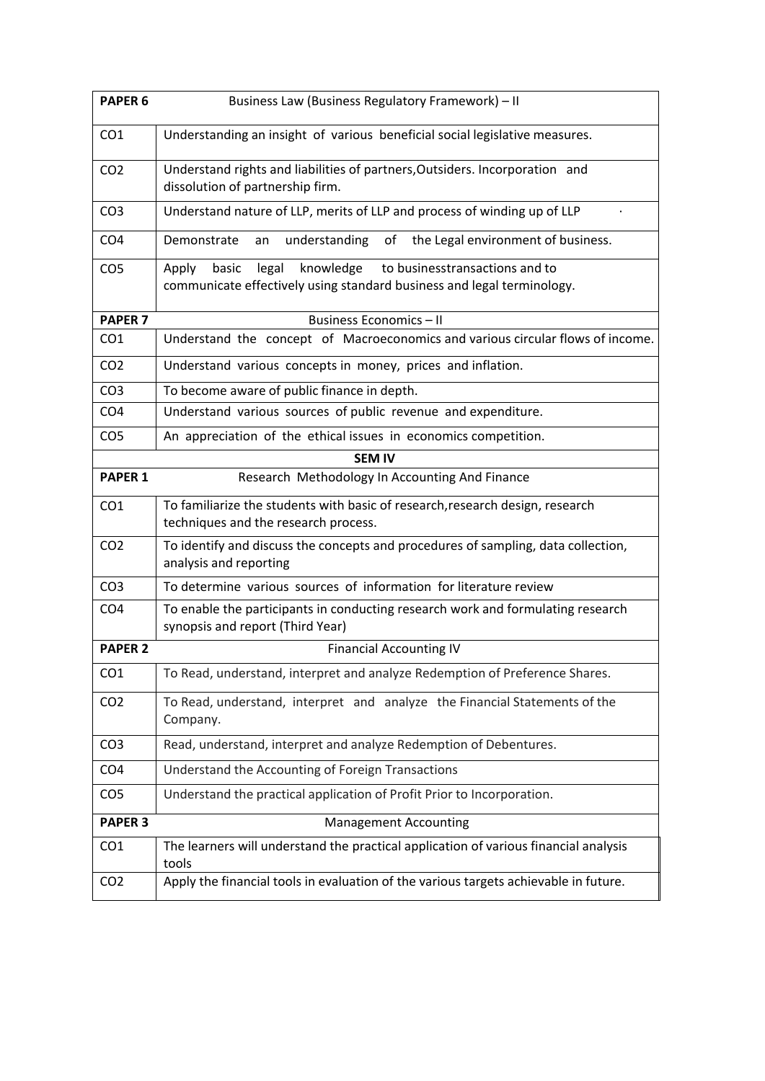| PAPER <sub>6</sub> | Business Law (Business Regulatory Framework) - II                                                                                                |
|--------------------|--------------------------------------------------------------------------------------------------------------------------------------------------|
| CO <sub>1</sub>    | Understanding an insight of various beneficial social legislative measures.                                                                      |
| CO <sub>2</sub>    | Understand rights and liabilities of partners, Outsiders. Incorporation and<br>dissolution of partnership firm.                                  |
| CO <sub>3</sub>    | Understand nature of LLP, merits of LLP and process of winding up of LLP                                                                         |
| CO <sub>4</sub>    | understanding<br>of the Legal environment of business.<br>Demonstrate<br>an                                                                      |
| CO <sub>5</sub>    | knowledge<br>to businesstransactions and to<br>legal<br>Apply<br>basic<br>communicate effectively using standard business and legal terminology. |
| <b>PAPER 7</b>     | <b>Business Economics - II</b>                                                                                                                   |
| CO <sub>1</sub>    | Understand the concept of Macroeconomics and various circular flows of income.                                                                   |
| CO <sub>2</sub>    | Understand various concepts in money, prices and inflation.                                                                                      |
| CO <sub>3</sub>    | To become aware of public finance in depth.                                                                                                      |
| CO <sub>4</sub>    | Understand various sources of public revenue and expenditure.                                                                                    |
| CO <sub>5</sub>    | An appreciation of the ethical issues in economics competition.                                                                                  |
|                    | <b>SEM IV</b>                                                                                                                                    |
| <b>PAPER 1</b>     | Research Methodology In Accounting And Finance                                                                                                   |
| CO <sub>1</sub>    | To familiarize the students with basic of research, research design, research<br>techniques and the research process.                            |
| CO <sub>2</sub>    | To identify and discuss the concepts and procedures of sampling, data collection,<br>analysis and reporting                                      |
| CO <sub>3</sub>    | To determine various sources of information for literature review                                                                                |
| CO <sub>4</sub>    | To enable the participants in conducting research work and formulating research<br>synopsis and report (Third Year)                              |
| <b>PAPER 2</b>     | <b>Financial Accounting IV</b>                                                                                                                   |
| CO <sub>1</sub>    | To Read, understand, interpret and analyze Redemption of Preference Shares.                                                                      |
| CO <sub>2</sub>    | To Read, understand, interpret and analyze the Financial Statements of the<br>Company.                                                           |
| CO <sub>3</sub>    | Read, understand, interpret and analyze Redemption of Debentures.                                                                                |
| CO <sub>4</sub>    | Understand the Accounting of Foreign Transactions                                                                                                |
| CO <sub>5</sub>    | Understand the practical application of Profit Prior to Incorporation.                                                                           |
| <b>PAPER 3</b>     | <b>Management Accounting</b>                                                                                                                     |
| CO <sub>1</sub>    | The learners will understand the practical application of various financial analysis<br>tools                                                    |
| CO <sub>2</sub>    | Apply the financial tools in evaluation of the various targets achievable in future.                                                             |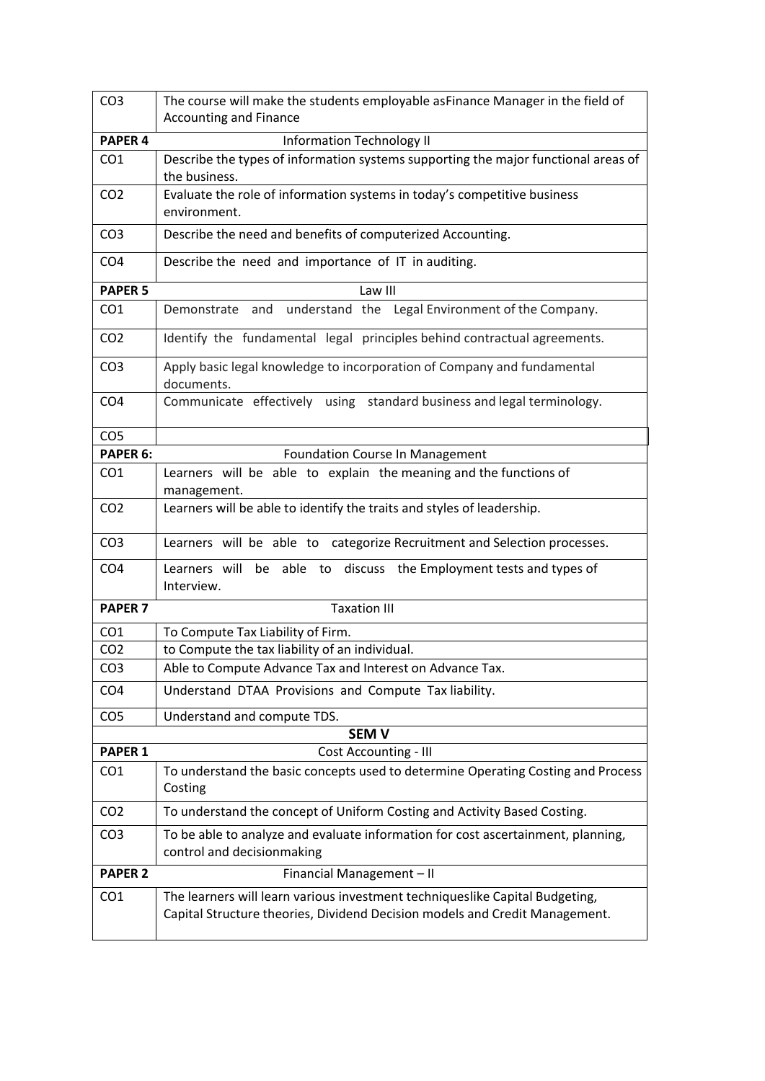| CO <sub>3</sub> | The course will make the students employable asFinance Manager in the field of<br><b>Accounting and Finance</b>                                             |
|-----------------|-------------------------------------------------------------------------------------------------------------------------------------------------------------|
| <b>PAPER 4</b>  | <b>Information Technology II</b>                                                                                                                            |
| CO <sub>1</sub> | Describe the types of information systems supporting the major functional areas of<br>the business.                                                         |
| CO <sub>2</sub> | Evaluate the role of information systems in today's competitive business<br>environment.                                                                    |
| CO <sub>3</sub> | Describe the need and benefits of computerized Accounting.                                                                                                  |
| CO <sub>4</sub> | Describe the need and importance of IT in auditing.                                                                                                         |
| <b>PAPER 5</b>  | Law III                                                                                                                                                     |
| CO <sub>1</sub> | Demonstrate and understand the Legal Environment of the Company.                                                                                            |
| CO <sub>2</sub> | Identify the fundamental legal principles behind contractual agreements.                                                                                    |
| CO <sub>3</sub> | Apply basic legal knowledge to incorporation of Company and fundamental<br>documents.                                                                       |
| CO <sub>4</sub> | Communicate effectively using standard business and legal terminology.                                                                                      |
| CO <sub>5</sub> |                                                                                                                                                             |
| PAPER 6:        | <b>Foundation Course In Management</b>                                                                                                                      |
| CO <sub>1</sub> | Learners will be able to explain the meaning and the functions of<br>management.                                                                            |
| CO <sub>2</sub> | Learners will be able to identify the traits and styles of leadership.                                                                                      |
| CO <sub>3</sub> | Learners will be able to categorize Recruitment and Selection processes.                                                                                    |
| CO <sub>4</sub> | Learners will be able to discuss the Employment tests and types of<br>Interview.                                                                            |
| <b>PAPER 7</b>  | <b>Taxation III</b>                                                                                                                                         |
| CO <sub>1</sub> | To Compute Tax Liability of Firm.                                                                                                                           |
| CO <sub>2</sub> | to Compute the tax liability of an individual.                                                                                                              |
| CO <sub>3</sub> | Able to Compute Advance Tax and Interest on Advance Tax.                                                                                                    |
| CO <sub>4</sub> | Understand DTAA Provisions and Compute Tax liability.                                                                                                       |
| CO <sub>5</sub> | Understand and compute TDS.                                                                                                                                 |
|                 | <b>SEM V</b>                                                                                                                                                |
| <b>PAPER 1</b>  | <b>Cost Accounting - III</b>                                                                                                                                |
| CO <sub>1</sub> | To understand the basic concepts used to determine Operating Costing and Process<br>Costing                                                                 |
| CO <sub>2</sub> | To understand the concept of Uniform Costing and Activity Based Costing.                                                                                    |
| CO <sub>3</sub> | To be able to analyze and evaluate information for cost ascertainment, planning,<br>control and decisionmaking                                              |
| <b>PAPER 2</b>  | Financial Management - II                                                                                                                                   |
| CO <sub>1</sub> | The learners will learn various investment techniqueslike Capital Budgeting,<br>Capital Structure theories, Dividend Decision models and Credit Management. |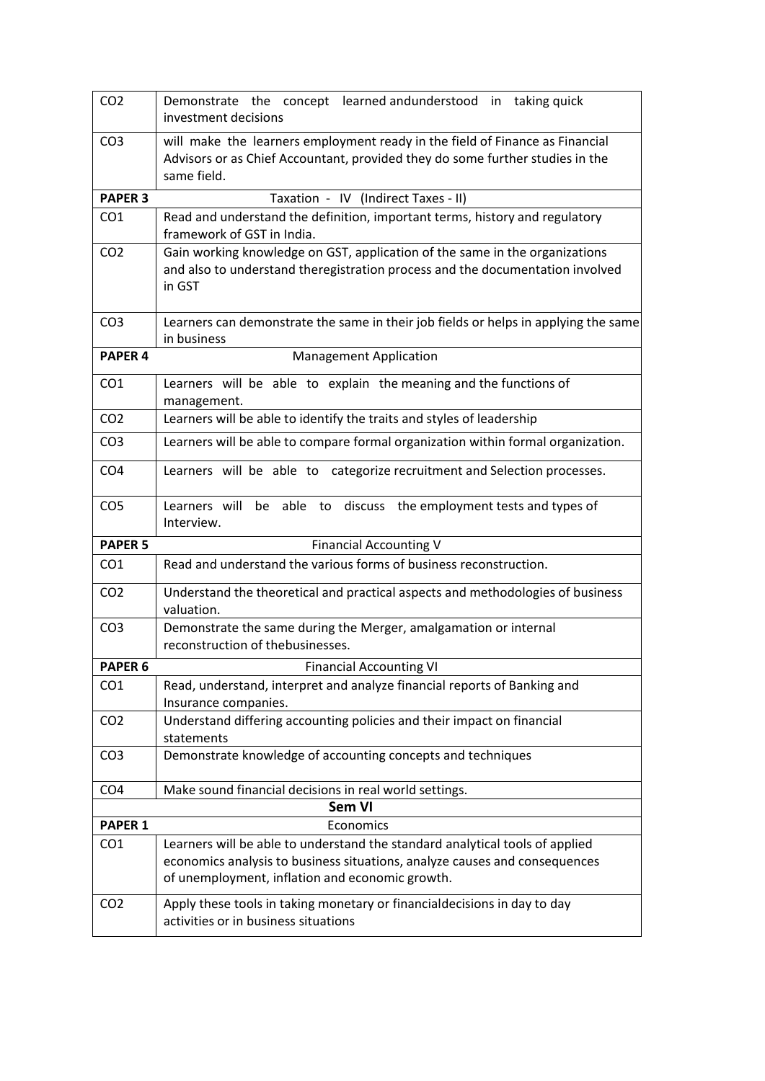| CO <sub>2</sub>    | Demonstrate the concept learned andunderstood in taking quick<br>investment decisions                                                                                                                         |
|--------------------|---------------------------------------------------------------------------------------------------------------------------------------------------------------------------------------------------------------|
| CO <sub>3</sub>    | will make the learners employment ready in the field of Finance as Financial<br>Advisors or as Chief Accountant, provided they do some further studies in the<br>same field.                                  |
| <b>PAPER 3</b>     | Taxation - IV (Indirect Taxes - II)                                                                                                                                                                           |
| CO <sub>1</sub>    | Read and understand the definition, important terms, history and regulatory<br>framework of GST in India.                                                                                                     |
| CO <sub>2</sub>    | Gain working knowledge on GST, application of the same in the organizations<br>and also to understand theregistration process and the documentation involved<br>in GST                                        |
| CO <sub>3</sub>    | Learners can demonstrate the same in their job fields or helps in applying the same<br>in business                                                                                                            |
| <b>PAPER 4</b>     | <b>Management Application</b>                                                                                                                                                                                 |
| CO <sub>1</sub>    | Learners will be able to explain the meaning and the functions of<br>management.                                                                                                                              |
| CO <sub>2</sub>    | Learners will be able to identify the traits and styles of leadership                                                                                                                                         |
| CO <sub>3</sub>    | Learners will be able to compare formal organization within formal organization.                                                                                                                              |
| CO <sub>4</sub>    | Learners will be able to categorize recruitment and Selection processes.                                                                                                                                      |
| CO <sub>5</sub>    | Learners will be able to discuss the employment tests and types of<br>Interview.                                                                                                                              |
| <b>PAPER 5</b>     | <b>Financial Accounting V</b>                                                                                                                                                                                 |
| CO <sub>1</sub>    | Read and understand the various forms of business reconstruction.                                                                                                                                             |
| CO <sub>2</sub>    | Understand the theoretical and practical aspects and methodologies of business<br>valuation.                                                                                                                  |
| CO <sub>3</sub>    | Demonstrate the same during the Merger, amalgamation or internal<br>reconstruction of thebusinesses.                                                                                                          |
| PAPER <sub>6</sub> | <b>Financial Accounting VI</b>                                                                                                                                                                                |
| CO <sub>1</sub>    | Read, understand, interpret and analyze financial reports of Banking and<br>Insurance companies.                                                                                                              |
| CO <sub>2</sub>    | Understand differing accounting policies and their impact on financial<br>statements                                                                                                                          |
| CO <sub>3</sub>    | Demonstrate knowledge of accounting concepts and techniques                                                                                                                                                   |
| CO <sub>4</sub>    | Make sound financial decisions in real world settings.                                                                                                                                                        |
|                    | <b>Sem VI</b>                                                                                                                                                                                                 |
| <b>PAPER 1</b>     | Economics                                                                                                                                                                                                     |
| CO <sub>1</sub>    | Learners will be able to understand the standard analytical tools of applied<br>economics analysis to business situations, analyze causes and consequences<br>of unemployment, inflation and economic growth. |
| CO <sub>2</sub>    | Apply these tools in taking monetary or financial decisions in day to day<br>activities or in business situations                                                                                             |